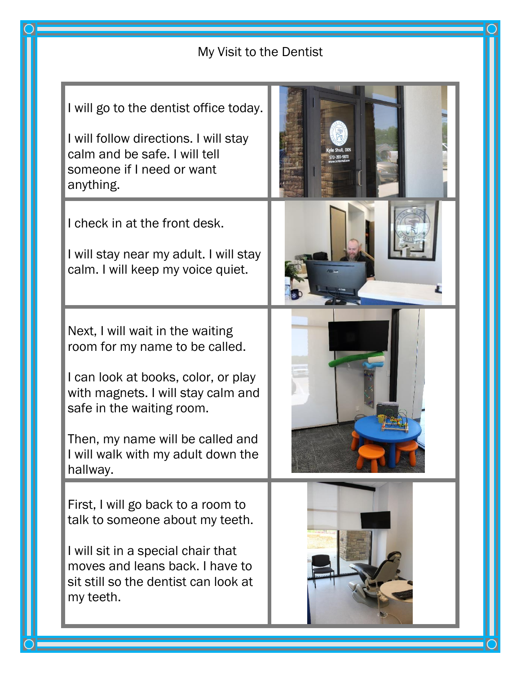## My Visit to the Dentist

I will go to the dentist office today. I will follow directions. I will stay calm and be safe. I will tell someone if I need or want anything. I check in at the front desk. I will stay near my adult. I will stay calm. I will keep my voice quiet. Next, I will wait in the waiting room for my name to be called. I can look at books, color, or play with magnets. I will stay calm and safe in the waiting room. Then, my name will be called and I will walk with my adult down the hallway. First, I will go back to a room to talk to someone about my teeth. I will sit in a special chair that moves and leans back. I have to sit still so the dentist can look at my teeth. l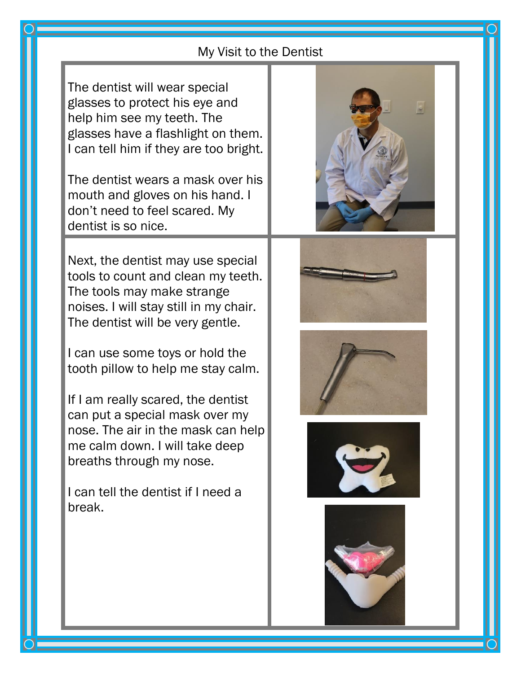## My Visit to the Dentist

The dentist will wear special glasses to protect his eye and help him see my teeth. The glasses have a flashlight on them. I can tell him if they are too bright.

The dentist wears a mask over his mouth and gloves on his hand. I don't need to feel scared. My dentist is so nice.

Next, the dentist may use special tools to count and clean my teeth. The tools may make strange noises. I will stay still in my chair. The dentist will be very gentle.

I can use some toys or hold the tooth pillow to help me stay calm.

If I am really scared, the dentist can put a special mask over my nose. The air in the mask can help me calm down. I will take deep breaths through my nose.

I can tell the dentist if I need a break.











l